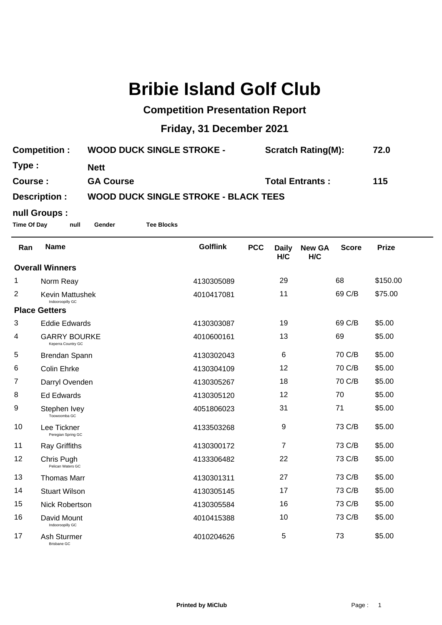# **Bribie Island Golf Club**

### **Competition Presentation Report**

# **Friday, 31 December 2021**

| <b>Competition:</b> | <b>WOOD DUCK SINGLE STROKE -</b>            | <b>Scratch Rating(M):</b> | 72.0 |  |  |  |
|---------------------|---------------------------------------------|---------------------------|------|--|--|--|
| Type :              | <b>Nett</b>                                 |                           |      |  |  |  |
| Course:             | <b>GA Course</b>                            | <b>Total Entrants:</b>    | 115  |  |  |  |
| Description :       | <b>WOOD DUCK SINGLE STROKE - BLACK TEES</b> |                           |      |  |  |  |

## **null Groups :**

**Time Of Day null Gender Tee Blocks**

| Ran                    | <b>Name</b>                               | <b>Golflink</b> | <b>PCC</b> | <b>Daily</b><br>H/C | <b>New GA</b><br>H/C | <b>Score</b> | <b>Prize</b> |
|------------------------|-------------------------------------------|-----------------|------------|---------------------|----------------------|--------------|--------------|
| <b>Overall Winners</b> |                                           |                 |            |                     |                      |              |              |
| 1                      | Norm Reay                                 | 4130305089      |            | 29                  |                      | 68           | \$150.00     |
| $\overline{2}$         | Kevin Mattushek<br>Indooroopilly GC       | 4010417081      |            | 11                  |                      | 69 C/B       | \$75.00      |
| <b>Place Getters</b>   |                                           |                 |            |                     |                      |              |              |
| 3                      | <b>Eddie Edwards</b>                      | 4130303087      |            | 19                  |                      | 69 C/B       | \$5.00       |
| 4                      | <b>GARRY BOURKE</b><br>Keperra Country GC | 4010600161      |            | 13                  |                      | 69           | \$5.00       |
| 5                      | Brendan Spann                             | 4130302043      |            | 6                   |                      | 70 C/B       | \$5.00       |
| 6                      | <b>Colin Ehrke</b>                        | 4130304109      |            | 12                  |                      | 70 C/B       | \$5.00       |
| 7                      | Darryl Ovenden                            | 4130305267      |            | 18                  |                      | 70 C/B       | \$5.00       |
| 8                      | <b>Ed Edwards</b>                         | 4130305120      |            | 12                  |                      | 70           | \$5.00       |
| 9                      | Stephen Ivey<br>Toowoomba GC              | 4051806023      |            | 31                  |                      | 71           | \$5.00       |
| 10                     | Lee Tickner<br>Peregian Spring GC         | 4133503268      |            | 9                   |                      | 73 C/B       | \$5.00       |
| 11                     | <b>Ray Griffiths</b>                      | 4130300172      |            | 7                   |                      | 73 C/B       | \$5.00       |
| 12                     | Chris Pugh<br>Pelican Waters GC           | 4133306482      |            | 22                  |                      | 73 C/B       | \$5.00       |
| 13                     | <b>Thomas Marr</b>                        | 4130301311      |            | 27                  |                      | 73 C/B       | \$5.00       |
| 14                     | <b>Stuart Wilson</b>                      | 4130305145      |            | 17                  |                      | 73 C/B       | \$5.00       |
| 15                     | <b>Nick Robertson</b>                     | 4130305584      |            | 16                  |                      | 73 C/B       | \$5.00       |
| 16                     | David Mount<br>Indooroopilly GC           | 4010415388      |            | 10                  |                      | 73 C/B       | \$5.00       |
| 17                     | Ash Sturmer<br><b>Brisbane GC</b>         | 4010204626      |            | 5                   |                      | 73           | \$5.00       |